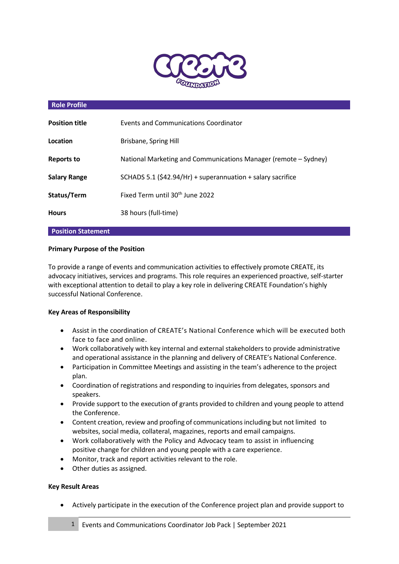

#### **Role Profile**

| <b>Position title</b> | Events and Communications Coordinator                           |
|-----------------------|-----------------------------------------------------------------|
| Location              | Brisbane, Spring Hill                                           |
| <b>Reports to</b>     | National Marketing and Communications Manager (remote – Sydney) |
| <b>Salary Range</b>   | SCHADS 5.1 (\$42.94/Hr) + superannuation + salary sacrifice     |
| Status/Term           | Fixed Term until 30 <sup>th</sup> June 2022                     |
| <b>Hours</b>          | 38 hours (full-time)                                            |

# **Position Statement**

# **Primary Purpose of the Position**

To provide a range of events and communication activities to effectively promote CREATE, its advocacy initiatives, services and programs. This role requires an experienced proactive, self-starter with exceptional attention to detail to play a key role in delivering CREATE Foundation's highly successful National Conference.

### **Key Areas of Responsibility**

- Assist in the coordination of CREATE's National Conference which will be executed both face to face and online.
- Work collaboratively with key internal and external stakeholders to provide administrative and operational assistance in the planning and delivery of CREATE's National Conference.
- Participation in Committee Meetings and assisting in the team's adherence to the project plan.
- Coordination of registrations and responding to inquiries from delegates, sponsors and speakers.
- Provide support to the execution of grants provided to children and young people to attend the Conference.
- Content creation, review and proofing of communications including but not limited to websites, social media, collateral, magazines, reports and email campaigns.
- Work collaboratively with the Policy and Advocacy team to assist in influencing positive change for children and young people with a care experience.
- Monitor, track and report activities relevant to the role.
- Other duties as assigned.

### **Key Result Areas**

Actively participate in the execution of the Conference project plan and provide support to